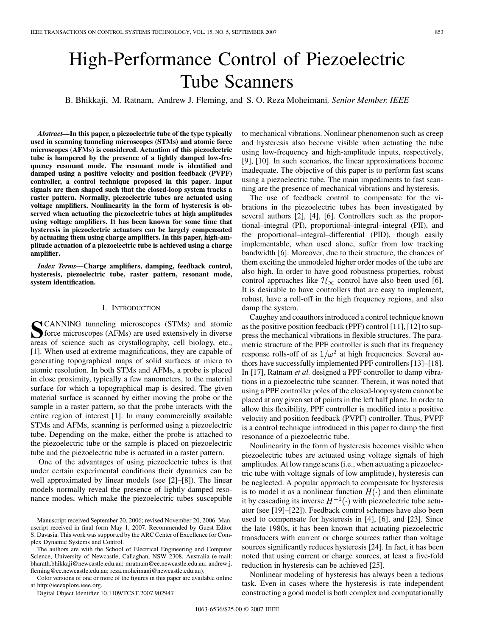# High-Performance Control of Piezoelectric Tube Scanners

B. Bhikkaji, M. Ratnam, Andrew J. Fleming, and S. O. Reza Moheimani*, Senior Member, IEEE*

*Abstract—***In this paper, a piezoelectric tube of the type typically used in scanning tunneling microscopes (STMs) and atomic force microscopes (AFMs) is considered. Actuation of this piezoelectric tube is hampered by the presence of a lightly damped low-frequency resonant mode. The resonant mode is identified and damped using a positive velocity and position feedback (PVPF) controller, a control technique proposed in this paper. Input signals are then shaped such that the closed-loop system tracks a raster pattern. Normally, piezoelectric tubes are actuated using voltage amplifiers. Nonlinearity in the form of hysteresis is observed when actuating the piezoelectric tubes at high amplitudes using voltage amplifiers. It has been known for some time that hysteresis in piezoelectric actuators can be largely compensated by actuating them using charge amplifiers. In this paper, high-amplitude actuation of a piezoelectric tube is achieved using a charge amplifier.**

*Index Terms—***Charge amplifiers, damping, feedback control, hysteresis, piezoelectric tube, raster pattern, resonant mode, system identification.**

## I. INTRODUCTION

**S** CANNING tunneling microscopes (STMs) and atomic<br>
Street microscopes (AFMs) are used extensively in diverse force microscopes (AFMs) are used extensively in diverse areas of science such as crystallography, cell biology, etc., [1]. When used at extreme magnifications, they are capable of generating topographical maps of solid surfaces at micro to atomic resolution. In both STMs and AFMs, a probe is placed in close proximity, typically a few nanometers, to the material surface for which a topographical map is desired. The given material surface is scanned by either moving the probe or the sample in a raster pattern, so that the probe interacts with the entire region of interest [1]. In many commercially available STMs and AFMs, scanning is performed using a piezoelectric tube. Depending on the make, either the probe is attached to the piezoelectric tube or the sample is placed on piezoelectric tube and the piezoelectric tube is actuated in a raster pattern.

One of the advantages of using piezoelectric tubes is that under certain experimental conditions their dynamics can be well approximated by linear models (see [2]–[8]). The linear models normally reveal the presence of lightly damped resonance modes, which make the piezoelectric tubes susceptible

The authors are with the School of Electrical Engineering and Computer Science, University of Newcastle, Callaghan, NSW 2308, Australia (e-mail: bharath.bhikkaji@newcastle.edu.au; mratnam@ee.newcastle.edu.au; andrew.j. fleming@ee.newcastle.edu.au; reza.moheimani@newcastle.edu.au).

Color versions of one or more of the figures in this paper are available online at http://ieeexplore.ieee.org.

Digital Object Identifier 10.1109/TCST.2007.902947

to mechanical vibrations. Nonlinear phenomenon such as creep and hysteresis also become visible when actuating the tube using low-frequency and high-amplitude inputs, respectively, [9], [10]. In such scenarios, the linear approximations become inadequate. The objective of this paper is to perform fast scans using a piezoelectric tube. The main impediments to fast scanning are the presence of mechanical vibrations and hysteresis.

The use of feedback control to compensate for the vibrations in the piezoelectric tubes has been investigated by several authors [2], [4], [6]. Controllers such as the proportional–integral (PI), proportional–integral–integral (PII), and the proportional–integral–differential (PID), though easily implementable, when used alone, suffer from low tracking bandwidth [6]. Moreover, due to their structure, the chances of them exciting the unmodeled higher order modes of the tube are also high. In order to have good robustness properties, robust control approaches like  $\mathcal{H}_{\infty}$  control have also been used [6]. It is desirable to have controllers that are easy to implement, robust, have a roll-off in the high frequency regions, and also damp the system.

Caughey and coauthors introduced a control technique known as the positive position feedback (PPF) control [11], [12] to suppress the mechanical vibrations in flexible structures. The parametric structure of the PPF controller is such that its frequency response rolls-off of as  $1/\omega^2$  at high frequencies. Several authors have successfully implemented PPF controllers [13]–[18]. In [17], Ratnam *et al.* designed a PPF controller to damp vibrations in a piezoelectric tube scanner. Therein, it was noted that using a PPF controller poles of the closed-loop system cannot be placed at any given set of points in the left half plane. In order to allow this flexibility, PPF controller is modified into a positive velocity and position feedback (PVPF) controller. Thus, PVPF is a control technique introduced in this paper to damp the first resonance of a piezoelectric tube.

Nonlinearity in the form of hysteresis becomes visible when piezoelectric tubes are actuated using voltage signals of high amplitudes. At low range scans (i.e., when actuating a piezoelectric tube with voltage signals of low amplitude), hysteresis can be neglected. A popular approach to compensate for hysteresis is to model it as a nonlinear function  $H(\cdot)$  and then eliminate it by cascading its inverse  $H^{-1}(\cdot)$  with piezoelectric tube actuator (see [19]–[22]). Feedback control schemes have also been used to compensate for hysteresis in [4], [6], and [23]. Since the late 1980s, it has been known that actuating piezoelectric transducers with current or charge sources rather than voltage sources significantly reduces hysteresis [24]. In fact, it has been noted that using current or charge sources, at least a five-fold reduction in hysteresis can be achieved [25].

Nonlinear modeling of hysteresis has always been a tedious task. Even in cases where the hysteresis is rate independent constructing a good model is both complex and computationally

Manuscript received September 20, 2006; revised November 20, 2006. Manuscript received in final form May 1, 2007. Recommended by Guest Editor S. Davasia. This work was supported by the ARC Center of Excellence for Complex Dynamic Systems and Control.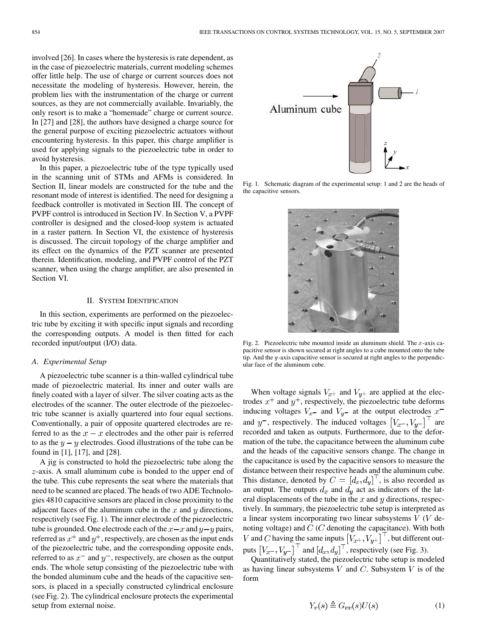involved [26]. In cases where the hysteresis is rate dependent, as in the case of piezoelectric materials, current modeling schemes offer little help. The use of charge or current sources does not necessitate the modeling of hysteresis. However, herein, the problem lies with the instrumentation of the charge or current sources, as they are not commercially available. Invariably, the only resort is to make a "homemade" charge or current source. In [27] and [28], the authors have designed a charge source for the general purpose of exciting piezoelectric actuators without encountering hysteresis. In this paper, this charge amplifier is used for applying signals to the piezoelectric tube in order to avoid hysteresis.

In this paper, a piezoelectric tube of the type typically used in the scanning unit of STMs and AFMs is considered. In Section II, linear models are constructed for the tube and the resonant mode of interest is identified. The need for designing a feedback controller is motivated in Section III. The concept of PVPF control is introduced in Section IV. In Section V, a PVPF controller is designed and the closed-loop system is actuated in a raster pattern. In Section VI, the existence of hysteresis is discussed. The circuit topology of the charge amplifier and its effect on the dynamics of the PZT scanner are presented therein. Identification, modeling, and PVPF control of the PZT scanner, when using the charge amplifier, are also presented in Section VI.

# II. SYSTEM IDENTIFICATION

In this section, experiments are performed on the piezoelectric tube by exciting it with specific input signals and recording the corresponding outputs. A model is then fitted for each recorded input/output (I/O) data.

# *A. Experimental Setup*

A piezoelectric tube scanner is a thin-walled cylindrical tube made of piezoelectric material. Its inner and outer walls are finely coated with a layer of silver. The silver coating acts as the electrodes of the scanner. The outer electrode of the piezoelectric tube scanner is axially quartered into four equal sections. Conventionally, a pair of opposite quartered electrodes are referred to as the  $x - x$  electrodes and the other pair is referred to as the  $y - y$  electrodes. Good illustrations of the tube can be found in [1], [17], and [28].

A jig is constructed to hold the piezoelectric tube along the  $z$ -axis. A small aluminum cube is bonded to the upper end of the tube. This cube represents the seat where the materials that need to be scanned are placed. The heads of two ADE Technologies 4810 capacitive sensors are placed in close proximity to the adjacent faces of the aluminum cube in the x and y directions, respectively (see Fig. 1). The inner electrode of the piezoelectric tube is grounded. One electrode each of the  $x-x$  and  $y-y$  pairs, referred as  $x^+$  and  $y^+$ , respectively, are chosen as the input ends of the piezoelectric tube, and the corresponding opposite ends, referred to as  $x^-$  and  $y^-$ , respectively, are chosen as the output ends. The whole setup consisting of the piezoelectric tube with the bonded aluminum cube and the heads of the capacitive sensors, is placed in a specially constructed cylindrical enclosure (see Fig. 2). The cylindrical enclosure protects the experimental setup from external noise.



Fig. 1. Schematic diagram of the experimental setup: 1 and 2 are the heads of the capacitive sensors.



Fig. 2. Piezoelectric tube mounted inside an aluminum shield. The  $x$ -axis capacitive sensor is shown secured at right angles to a cube mounted onto the tube tip. And the y-axis capacitive sensor is secured at right angles to the perpendicular face of the aluminum cube.

When voltage signals  $V_{x+}$  and  $V_{y+}$  are applied at the electrodes  $x^{+}$  and  $y^{+}$ , respectively, the piezoelectric tube deforms inducing voltages  $V_{x-}$  and  $V_{y-}$  at the output electrodes  $x^$ and  $y^-$ , respectively. The induced voltages  $[V_{x^-}, V_{y^-}]$  are recorded and taken as outputs. Furthermore, due to the deformation of the tube, the capacitance between the aluminum cube and the heads of the capacitive sensors change. The change in the capacitance is used by the capacitive sensors to measure the distance between their respective heads and the aluminum cube. This distance, denoted by  $C = [d_x, d_y]^\top$ , is also recorded as an output. The outputs  $d_x$  and  $d_y$  act as indicators of the lateral displacements of the tube in the  $x$  and  $y$  directions, respectively. In summary, the piezoelectric tube setup is interpreted as a linear system incorporating two linear subsystems  $V$  ( $V$  denoting voltage) and  $C$  ( $C$  denoting the capacitance). With both and C having the same inputs  $|V_{x+}, V_{y+}|$ , but different outputs  $|V_{x-}, V_{y-}|$  and  $[d_x, d_y]$ , respectively (see Fig. 3).

Quantitatively stated, the piezoelectric tube setup is modeled as having linear subsystems  $V$  and  $C$ . Subsystem  $V$  is of the form

$$
Y_v(s) \triangleq G_{vv}(s)U(s) \tag{1}
$$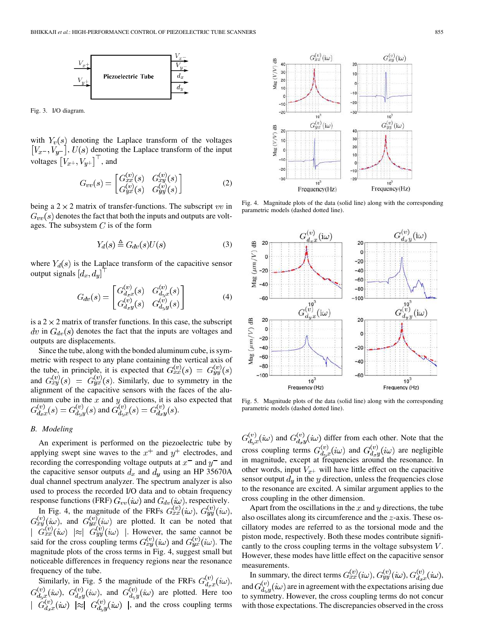

Fig. 3. I/O diagram.

with  $Y_v(s)$  denoting the Laplace transform of the voltages  $[V_x, V_y -]$ ,  $U(s)$  denoting the Laplace transform of the input voltages  $[V_{x+}, V_{y+}]^{\top}$ , and

$$
G_{vv}(s) = \begin{bmatrix} G_{xx}^{(v)}(s) & G_{xy}^{(v)}(s) \\ G_{yx}^{(v)}(s) & G_{yy}^{(v)}(s) \end{bmatrix}
$$
 (2)

being a  $2 \times 2$  matrix of transfer-functions. The subscript  $vv$  in  $G_{vv}(s)$  denotes the fact that both the inputs and outputs are voltages. The subsystem  $C$  is of the form

$$
Y_d(s) \triangleq G_{dv}(s)U(s) \tag{3}
$$

where  $Y_d(s)$  is the Laplace transform of the capacitive sensor output signals  $[d_x, d_y]$ 

$$
G_{dv}(s) = \begin{bmatrix} G_{d_x x}^{(v)}(s) & G_{d_y x}^{(v)}(s) \\ G_{d_x y}^{(v)}(s) & G_{d_y y}^{(v)}(s) \end{bmatrix}
$$
(4)

is a  $2 \times 2$  matrix of transfer functions. In this case, the subscript  $dv$  in  $G_{dv}(s)$  denotes the fact that the inputs are voltages and outputs are displacements.

Since the tube, along with the bonded aluminum cube, is symmetric with respect to any plane containing the vertical axis of the tube, in principle, it is expected that and  $G_{xy}^{(v)}(s) = G_{yx}^{(v)}(s)$ . Similarly, due to symmetry in the alignment of the capacitive sensors with the faces of the aluminum cube in the  $x$  and  $y$  directions, it is also expected that and  $G_{d_vx}^{(v)}(s) = G_{d_vy}^{(v)}(s)$ .

# *B. Modeling*

An experiment is performed on the piezoelectric tube by applying swept sine waves to the  $x^+$  and  $y^+$  electrodes, and recording the corresponding voltage outputs at  $x^-$  and  $y^-$  and the capacitive sensor outputs  $d_x$  and  $d_y$  using an HP 35670A dual channel spectrum analyzer. The spectrum analyzer is also used to process the recorded I/O data and to obtain frequency response functions (FRF)  $G_{vv}(i\omega)$  and  $G_{dv}(i\omega)$ , respectively.

In Fig. 4, the magnitude of the FRFs  $G_{xx}^{(v)}(i\omega)$ ,  $G_{yy}^{(v)}(i\omega)$ ,  $G_{xy}^{(v)}(i\omega)$ , and  $G_{yx}^{(v)}(i\omega)$  are plotted. It can be noted that . However, the same cannot be said for the cross coupling terms  $G_{xy}^{(v)}(i\omega)$  and  $G_{yx}^{(v)}(i\omega)$ . The magnitude plots of the cross terms in Fig. 4, suggest small but noticeable differences in frequency regions near the resonance frequency of the tube.

Similarly, in Fig. 5 the magnitude of the FRFs  $G_{d,x}^{(v)}(i\omega)$ , ,  $G_{d,u}^{(v)}(i\omega)$ , and  $G_{d,u}^{(v)}(i\omega)$  are plotted. Here too , and the cross coupling terms



Fig. 4. Magnitude plots of the data (solid line) along with the corresponding parametric models (dashed dotted line).



Fig. 5. Magnitude plots of the data (solid line) along with the corresponding parametric models (dashed dotted line).

 $G_{d_yx}^{(v)}(i\omega)$  and  $G_{d_xy}^{(v)}(i\omega)$  differ from each other. Note that the cross coupling terms  $G_{d,r}^{(v)}(i\omega)$  and  $G_{d,r}^{(v)}(i\omega)$  are negligible in magnitude, except at frequencies around the resonance. In other words, input  $V_{x+}$  will have little effect on the capacitive sensor output  $d_y$  in the y direction, unless the frequencies close to the resonance are excited. A similar argument applies to the cross coupling in the other dimension.

Apart from the oscillations in the  $x$  and  $y$  directions, the tube also oscillates along its circumference and the  $z$ -axis. These oscillatory modes are referred to as the torsional mode and the piston mode, respectively. Both these modes contribute significantly to the cross coupling terms in the voltage subsystem  $V$ . However, these modes have little effect on the capacitive sensor measurements.

In summary, the direct terms  $G_{xx}^{(v)}(i\omega)$ ,  $G_{yy}^{(v)}(i\omega)$ ,  $G_{d-r}^{(v)}(i\omega)$ , and  $G_{d_y y}^{(v)}(i\omega)$  are in agreement with the expectations arising due to symmetry. However, the cross coupling terms do not concur with those expectations. The discrepancies observed in the cross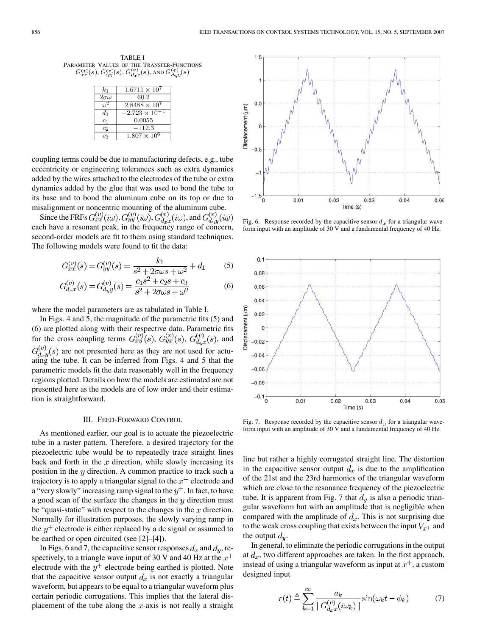TABLE I PARAMETER VALUES OF THE TRANSFER-FUNCTIONS<br>  $G_{xx}^{(v)}(s)$ ,  $G_{yy}^{(v)}(s)$ ,  $G_{dx}^{(v)}(s)$ , and  $G_{ds}^{(v)}(s)$ 

| $_{k_1}$                    | $1.6711 \times 10^{7}$  |
|-----------------------------|-------------------------|
| $\overline{2}\sigma \omega$ | 60.2                    |
| $^{7.2}$                    | $2.8488 \times 10^{7}$  |
| d1                          | $-2.723 \times 10^{-1}$ |
| c <sub>1</sub>              | 0.0055                  |
| c <sub>2</sub>              | $-112.3$                |
|                             | $1.807 \times 10^6$     |

coupling terms could be due to manufacturing defects, e.g., tube eccentricity or engineering tolerances such as extra dynamics added by the wires attached to the electrodes of the tube or extra dynamics added by the glue that was used to bond the tube to its base and to bond the aluminum cube on its top or due to misalignment or noncentric mounting of the aluminum cube.

Since the FRFs  $G_{xx}^{(v)}(i\omega), G_{yy}^{(v)}(i\omega), G_{d-x}^{(v)}(i\omega)$ , and each have a resonant peak, in the frequency range of concern, second-order models are fit to them using standard techniques. The following models were found to fit the data:

$$
G_{xx}^{(v)}(s) = G_{yy}^{(v)}(s) = \frac{k_1}{s^2 + 2\sigma\omega s + \omega^2} + d_1 \tag{5}
$$

$$
G_{d_x x}^{(v)}(s) = G_{d_y y}^{(v)}(s) = \frac{c_1 s^2 + c_2 s + c_3}{s^2 + 2\sigma \omega s + \omega^2}
$$
(6)

where the model parameters are as tabulated in Table I.

In Figs. 4 and 5, the magnitude of the parametric fits (5) and (6) are plotted along with their respective data. Parametric fits for the cross coupling terms  $G_{xy}^{(v)}(s)$ ,  $G_{yx}^{(v)}(s)$ ,  $G_{d_{vx}}^{(v)}(s)$ , and  $G_{d_x y}^{(v)}(s)$  are not presented here as they are not used for actuating the tube. It can be inferred from Figs. 4 and 5 that the parametric models fit the data reasonably well in the frequency regions plotted. Details on how the models are estimated are not presented here as the models are of low order and their estimation is straightforward.

#### III. FEED-FORWARD CONTROL

As mentioned earlier, our goal is to actuate the piezoelectric tube in a raster pattern. Therefore, a desired trajectory for the piezoelectric tube would be to repeatedly trace straight lines back and forth in the  $x$  direction, while slowly increasing its position in the  $y$  direction. A common practice to track such a trajectory is to apply a triangular signal to the  $x^{+}$  electrode and a "very slowly" increasing ramp signal to the  $y^+$ . In fact, to have a good scan of the surface the changes in the  $y$  direction must be "quasi-static" with respect to the changes in the  $x$  direction. Normally for illustration purposes, the slowly varying ramp in the  $y^+$  electrode is either replaced by a dc signal or assumed to be earthed or open circuited (see [2]–[4]).

In Figs. 6 and 7, the capacitive sensor responses  $d_x$  and  $d_y$ , respectively, to a triangle wave input of 30 V and 40 Hz at the  $x^+$ electrode with the  $y^+$  electrode being earthed is plotted. Note that the capacitive sensor output  $d_x$  is not exactly a triangular waveform, but appears to be equal to a triangular waveform plus certain periodic corrugations. This implies that the lateral displacement of the tube along the  $x$ -axis is not really a straight



Fig. 6. Response recorded by the capacitive sensor  $d_x$  for a triangular waveform input with an amplitude of 30 V and a fundamental frequency of 40 Hz.



Fig. 7. Response recorded by the capacitive sensor  $d<sub>y</sub>$  for a triangular waveform input with an amplitude of 30 V and a fundamental frequency of 40 Hz.

line but rather a highly corrugated straight line. The distortion in the capacitive sensor output  $d_x$  is due to the amplification of the 21st and the 23rd harmonics of the triangular waveform which are close to the resonance frequency of the piezoelectric tube. It is apparent from Fig. 7 that  $d_y$  is also a periodic triangular waveform but with an amplitude that is negligible when compared with the amplitude of  $d_x$ . This is not surprising due to the weak cross coupling that exists between the input  $V_{x+}$  and the output  $d_{\mathbf{u}}$ .

In general, to eliminate the periodic corrugations in the output at  $d_x$ , two different approaches are taken. In the first approach, instead of using a triangular waveform as input at  $x^+$ , a custom designed input

$$
r(t) \triangleq \sum_{k=1}^{\infty} \frac{a_k}{|G_{d_x x}^{(v)}(i\omega_k)|} \sin(\omega_k t - \phi_k)
$$
 (7)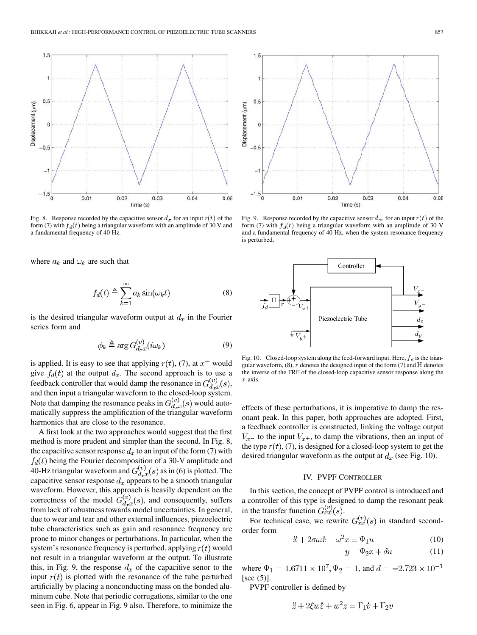

Fig. 8. Response recorded by the capacitive sensor  $d<sub>r</sub>$  for an input  $r(t)$  of the form (7) with  $f_a(t)$  being a triangular waveform with an amplitude of 30 V and a fundamental frequency of 40 Hz.

where  $a_k$  and  $\omega_k$  are such that

$$
f_d(t) \triangleq \sum_{k=1}^{\infty} a_k \sin(\omega_k t)
$$
 (8)

is the desired triangular waveform output at  $d_x$  in the Fourier series form and

$$
\phi_k \triangleq \arg G_{d_x x}^{(v)}(i\omega_k) \tag{9}
$$

is applied. It is easy to see that applying  $r(t)$ , (7), at  $x^{+}$  would give  $f_d(t)$  at the output  $d_x$ . The second approach is to use a feedback controller that would damp the resonance in  $G_{d-x}^{(v)}(s)$ , and then input a triangular waveform to the closed-loop system. Note that damping the resonance peaks in  $G_{d-x}^{(v)}(s)$  would automatically suppress the amplification of the triangular waveform harmonics that are close to the resonance.

A first look at the two approaches would suggest that the first method is more prudent and simpler than the second. In Fig. 8, the capacitive sensor response  $d_x$  to an input of the form (7) with  $f_d(t)$  being the Fourier decomposition of a 30-V amplitude and 40-Hz triangular waveform and  $G_{d_x x}^{(v)}(s)$  as in (6) is plotted. The capacitive sensor response  $d_x$  appears to be a smooth triangular waveform. However, this approach is heavily dependent on the correctness of the model  $G_{d_x x}^{(v)}(s)$ , and consequently, suffers from lack of robustness towards model uncertainties. In general, due to wear and tear and other external influences, piezoelectric tube characteristics such as gain and resonance frequency are prone to minor changes or perturbations. In particular, when the system's resonance frequency is perturbed, applying  $r(t)$  would not result in a triangular waveform at the output. To illustrate this, in Fig. 9, the response  $d_x$  of the capacitive senor to the input  $r(t)$  is plotted with the resonance of the tube perturbed artificially by placing a nonconducting mass on the bonded aluminum cube. Note that periodic corrugations, similar to the one seen in Fig. 6, appear in Fig. 9 also. Therefore, to minimize the



Fig. 9. Response recorded by the capacitive sensor  $d_x$ , for an input  $r(t)$  of the form (7) with  $f_d(t)$  being a triangular waveform with an amplitude of 30 V and a fundamental frequency of 40 Hz, when the system resonance frequency is perturbed.



Fig. 10. Closed-loop system along the feed-forward input. Here,  $f_d$  is the triangular waveform,  $(8)$ , r denotes the designed input of the form  $(7)$  and H denotes the inverse of the FRF of the closed-loop capacitive sensor response along the x-axis.

effects of these perturbations, it is imperative to damp the resonant peak. In this paper, both approaches are adopted. First, a feedback controller is constructed, linking the voltage output  $V_{x-}$  to the input  $V_{x+}$ , to damp the vibrations, then an input of the type  $r(t)$ , (7), is designed for a closed-loop system to get the desired triangular waveform as the output at  $d_x$  (see Fig. 10).

# IV. PVPF CONTROLLER

In this section, the concept of PVPF control is introduced and a controller of this type is designed to damp the resonant peak in the transfer function  $G_{xx}^{(v)}(s)$ .

For technical ease, we rewrite  $G_{xx}^{(v)}(s)$  in standard secondorder form

$$
\ddot{x} + 2\sigma\omega \dot{x} + \omega^2 x = \Psi_1 u \tag{10}
$$

$$
y = \Psi_2 x + du \tag{11}
$$

where  $\Psi_1 = 1.6711 \times 10^7$ ,  $\Psi_2 = 1$ , and  $d = -2.723 \times 10^{-1}$  $[see (5)].$ 

PVPF controller is defined by

$$
\ddot{z} + 2\xi w \dot{z} + w^2 z = \Gamma_1 \dot{v} + \Gamma_2 v
$$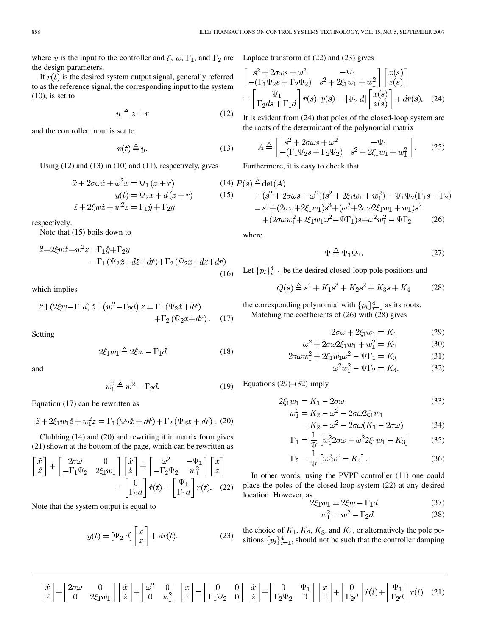where v is the input to the controller and  $\xi$ ,  $w$ ,  $\Gamma_1$ , and  $\Gamma_2$  are Laplace transform of (22) and (23) gives the design parameters.

If  $r(t)$  is the desired system output signal, generally referred to as the reference signal, the corresponding input to the system  $(10)$ , is set to

$$
u \stackrel{\Delta}{=} z + r \tag{12}
$$

and the controller input is set to

$$
v(t) \triangleq y. \tag{13}
$$

Using  $(12)$  and  $(13)$  in  $(10)$  and  $(11)$ , respectively, gives

$$
\ddot{x} + 2\sigma\omega\dot{x} + \omega^2 x = \Psi_1(z+r)
$$
\n
$$
y(t) = \Psi_2 x + d(z+r)
$$
\n
$$
\ddot{z} + 2\xi\omega\dot{z} + w^2 z = \Gamma_1 \dot{y} + \Gamma_2 y
$$
\n(15)

respectively.

Note that (15) boils down to

$$
\ddot{z} + 2\xi w \dot{z} + w^2 z = \Gamma_1 \dot{y} + \Gamma_2 y
$$
  
=  $\Gamma_1 (\Psi_2 \dot{x} + d\dot{z} + d\dot{r}) + \Gamma_2 (\Psi_2 x + dz + dr)$  (16)

which implies

$$
\ddot{z} + (2\xi w - \Gamma_1 d)\dot{z} + (w^2 - \Gamma_2 d)\dot{z} = \Gamma_1 (\Psi_2 \dot{x} + d\dot{r})
$$

$$
+ \Gamma_2 (\Psi_2 x + dr). \quad (17)
$$

Setting

$$
2\xi_1 w_1 \triangleq 2\xi w - \Gamma_1 d \tag{18}
$$

and

$$
w_1^2 \triangleq w^2 - \Gamma_2 d. \tag{19}
$$

Equation (17) can be rewritten as

$$
\ddot{z} + 2\xi_1 w_1 \dot{z} + w_1^2 z = \Gamma_1 (\Psi_2 \dot{x} + d\dot{r}) + \Gamma_2 (\Psi_2 x + dr).
$$
 (20)

Clubbing (14) and (20) and rewriting it in matrix form gives (21) shown at the bottom of the page, which can be rewritten as

$$
\begin{bmatrix} \ddot{x} \\ \ddot{z} \end{bmatrix} + \begin{bmatrix} 2\sigma\omega & 0 \\ -\Gamma_1\Psi_2 & 2\xi_1w_1 \end{bmatrix} \begin{bmatrix} \dot{x} \\ \dot{z} \end{bmatrix} + \begin{bmatrix} \omega^2 & -\Psi_1 \\ -\Gamma_2\Psi_2 & w_1^2 \end{bmatrix} \begin{bmatrix} x \\ z \end{bmatrix}
$$

$$
= \begin{bmatrix} 0 \\ \Gamma_2 d \end{bmatrix} \dot{r}(t) + \begin{bmatrix} \Psi_1 \\ \Gamma_1 d \end{bmatrix} r(t). \quad (22)
$$

Note that the system output is equal to

$$
y(t) = \left[\Psi_2 \ d\right] \begin{bmatrix} x \\ z \end{bmatrix} + dr(t). \tag{23}
$$

$$
\begin{bmatrix}\ns^2 + 2\sigma\omega s + \omega^2 & -\Psi_1 \\
-(\Gamma_1\Psi_2 s + \Gamma_2\Psi_2) & s^2 + 2\xi_1 w_1 + w_1^2\n\end{bmatrix}\n\begin{bmatrix}\nx(s) \\
z(s)\n\end{bmatrix}
$$
\n
$$
= \begin{bmatrix}\n\Psi_1 \\
\Gamma_2 ds + \Gamma_1 d\n\end{bmatrix}\nr(s)\ y(s) = \begin{bmatrix}\n\Psi_2 d\n\end{bmatrix}\n\begin{bmatrix}\nx(s) \\
z(s)\n\end{bmatrix} + dr(s).\n\tag{24}
$$

It is evident from (24) that poles of the closed-loop system are the roots of the determinant of the polynomial matrix

$$
A \triangleq \begin{bmatrix} s^2 + 2\sigma\omega s + \omega^2 & -\Psi_1 \\ -(\Gamma_1\Psi_2 s + \Gamma_2\Psi_2) & s^2 + 2\xi_1 w_1 + w_1^2 \end{bmatrix}.
$$
 (25)

Furthermore, it is easy to check that

4) 
$$
P(s) \stackrel{\Delta}{=} \det(A)
$$
  
\n5) 
$$
= (s^2 + 2\sigma\omega s + \omega^2)(s^2 + 2\xi_1w_1 + w_1^2) - \Psi_1\Psi_2(\Gamma_1s + \Gamma_2)
$$
\n
$$
= s^4 + (2\sigma\omega + 2\xi_1w_1)s^3 + (\omega^2 + 2\sigma\omega 2\xi_1w_1 + w_1)s^2
$$
\n
$$
+ (2\sigma\omega w_1^2 + 2\xi_1w_1\omega^2 - \Psi\Gamma_1)s + \omega^2 w_1^2 - \Psi\Gamma_2
$$
\n(26)

where

$$
\Psi \triangleq \Psi_1 \Psi_2. \tag{27}
$$

Let  $\{p_i\}_{i=1}^4$  be the desired closed-loop pole positions and

$$
Q(s) \triangleq s^4 + K_1 s^3 + K_2 s^2 + K_3 s + K_4 \tag{28}
$$

the corresponding polynomial with  $\{p_i\}_{i=1}^4$  as its roots. Matching the coefficients of (26) with (28) gives

$$
2\sigma\omega + 2\xi_1 w_1 = K_1 \tag{29}
$$

$$
\omega^2 + 2\sigma\omega 2\xi_1 w_1 + w_1^2 = K_2 \tag{30}
$$
\n
$$
w_1 w_1^2 + 2\xi_2 w_1 w_1^2 = W_1 \tag{31}
$$

$$
2\sigma\omega w_1^2 + 2\xi_1 w_1 \omega^2 - \Psi\Gamma_1 = K_3\tag{31}
$$

$$
\omega^2 w_1^2 - \Psi \Gamma_2 = K_4. \tag{32}
$$

Equations (29)–(32) imply

$$
\mathcal{E}_1 w_1 = K_1 - 2\sigma\omega \nw_1^2 = K_2 - \omega^2 - 2\sigma\omega 2\xi_1 w_1
$$
\n(33)

$$
= K_2 - \omega^2 - 2\sigma\omega(K_1 - 2\sigma\omega)
$$
 (34)

$$
\Gamma_1 = \frac{1}{\Psi} \left[ w_1^2 2\sigma \omega + \omega^2 2\xi_1 w_1 - K_3 \right]
$$
 (35)

$$
\Gamma_2 = \frac{1}{\Psi} \left[ w_1^2 \omega^2 - K_4 \right]. \tag{36}
$$

In other words, using the PVPF controller (11) one could place the poles of the closed-loop system (22) at any desired location. However, as

$$
2\xi_1 w_1 = 2\xi w - \Gamma_1 d \tag{37}
$$

$$
w_1^2 = w^2 - \Gamma_2 d \tag{38}
$$

the choice of  $K_1, K_2, K_3$ , and  $K_4$ , or alternatively the pole positions  $\{p_i\}_{i=1}^4$ , should not be such that the controller damping

$$
\begin{bmatrix} \ddot{x} \\ \ddot{z} \end{bmatrix} + \begin{bmatrix} 2\sigma\omega & 0 \\ 0 & 2\xi_1w_1 \end{bmatrix} \begin{bmatrix} \dot{x} \\ \dot{z} \end{bmatrix} + \begin{bmatrix} \omega^2 & 0 \\ 0 & w_1^2 \end{bmatrix} \begin{bmatrix} x \\ z \end{bmatrix} = \begin{bmatrix} 0 & 0 \\ \Gamma_1\Psi_2 & 0 \end{bmatrix} \begin{bmatrix} \dot{x} \\ \dot{z} \end{bmatrix} + \begin{bmatrix} 0 & \Psi_1 \\ \Gamma_2\Psi_2 & 0 \end{bmatrix} \begin{bmatrix} x \\ z \end{bmatrix} + \begin{bmatrix} 0 \\ \Gamma_2 d \end{bmatrix} \dot{r}(t) + \begin{bmatrix} \Psi_1 \\ \Gamma_2 d \end{bmatrix} r(t) \quad (21)
$$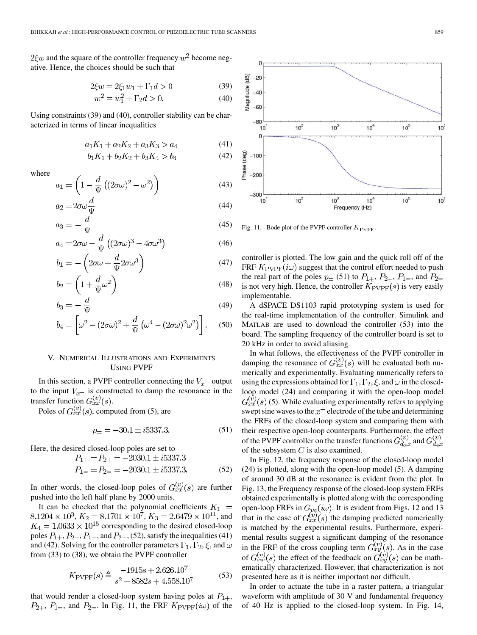$2\xi w$  and the square of the controller frequency  $w^2$  become negative. Hence, the choices should be such that

$$
2\xi w = 2\xi_1 w_1 + \Gamma_1 d > 0 \tag{39}
$$

$$
w^2 = w_1^2 + \Gamma_2 d > 0. \tag{40}
$$

Using constraints (39) and (40), controller stability can be characterized in terms of linear inequalities

$$
a_1K_1 + a_2K_2 + a_3K_3 > a_4 \tag{41}
$$

$$
b_1K_1 + b_2K_2 + b_3K_4 > b_4 \tag{42}
$$

where

$$
a_1 = \left(1 - \frac{d}{\Psi} \left( (2\sigma\omega)^2 - \omega^2 \right) \right) \tag{43}
$$

$$
a_2 = 2\sigma\omega \frac{u}{\Psi} \tag{44}
$$

$$
a_3 = -\frac{a}{\Psi} \tag{45}
$$

$$
a_4 = 2\sigma\omega - \frac{\omega}{\Psi} \left( (2\sigma\omega)^3 - 4\sigma\omega^3 \right) \tag{46}
$$

$$
b_1 = -\left(2\sigma\omega + \frac{a}{\Psi}2\sigma\omega^3\right) \tag{47}
$$

$$
b_2 = \left(1 + \frac{u}{\Psi} \omega^2\right) \tag{48}
$$

$$
b_3 = -\frac{d}{\Psi} \tag{49}
$$

$$
b_4 = \left[ \omega^2 - (2\sigma\omega)^2 + \frac{d}{\Psi} \left( \omega^4 - (2\sigma\omega)^2 \omega^2 \right) \right].
$$
 (50)

# V. NUMERICAL ILLUSTRATIONS AND EXPERIMENTS USING PVPF

In this section, a PVPF controller connecting the  $V_{x-}$  output to the input  $V_{x+}$  is constructed to damp the resonance in the transfer function  $G_{xx}^{(v)}(s)$ .

Poles of  $G_{xx}^{(v)}(s)$ , computed from (5), are

$$
p_{\pm} = -30.1 \pm i5337.3. \tag{51}
$$

Here, the desired closed-loop poles are set to

$$
P_{1+} = P_{2+} = -2030.1 \pm i5337.3
$$
  
\n
$$
P_{1-} = P_{2-} = -2030.1 \pm i5337.3.
$$
 (52)

In other words, the closed-loop poles of  $G_{xx}^{(v)}(s)$  are further pushed into the left half plane by 2000 units.

It can be checked that the polynomial coefficients  $K_1$  = ,  $K_2 = 8.1701 \times 10^7$ ,  $K_3 = 2.6479 \times 10^{11}$ , and corresponding to the desired closed-loop poles  $P_{1+}$ ,  $P_{2+}$ ,  $P_{1-}$ , and  $P_{2-}$ , (52), satisfy the inequalities (41) and (42). Solving for the controller parameters  $\Gamma_1$ ,  $\Gamma_2$ ,  $\xi$ , and  $\omega$ from (33) to (38), we obtain the PVPF controller

$$
K_{\text{PVPF}}(s) \triangleq \frac{-1915s + 2.626.10^7}{s^2 + 8582s + 4.558.10^7} \tag{53}
$$

that would render a closed-loop system having poles at  $P_{1+}$ ,  $P_{2+}$ ,  $P_{1-}$ , and  $P_{2-}$ . In Fig. 11, the FRF  $K_{\text{PVPF}}(i\omega)$  of the



Fig. 11. Bode plot of the PVPF controller  $K_{\text{PVPF}}$ .

controller is plotted. The low gain and the quick roll off of the FRF  $K_{\text{PVPF}}(i\omega)$  suggest that the control effort needed to push the real part of the poles  $p_{\pm}$  (51) to  $P_{1+}$ ,  $P_{2+}$ ,  $P_{1-}$ , and  $P_{2-}$ is not very high. Hence, the controller  $K_{\text{PVPF}}(s)$  is very easily implementable.

A dSPACE DS1103 rapid prototyping system is used for the real-time implementation of the controller. Simulink and MATLAB are used to download the controller (53) into the board. The sampling frequency of the controller board is set to 20 kHz in order to avoid aliasing.

In what follows, the effectiveness of the PVPF controller in damping the resonance of  $G_{xx}^{(v)}(s)$  will be evaluated both numerically and experimentally. Evaluating numerically refers to using the expressions obtained for  $\Gamma_1, \Gamma_2, \xi$ , and  $\omega$  in the closedloop model (24) and comparing it with the open-loop model  $G_{xx}^{(v)}(s)$  (5). While evaluating experimentally refers to applying swept sine waves to the  $x^+$  electrode of the tube and determining the FRFs of the closed-loop system and comparing them with their respective open-loop counterparts. Furthermore, the effect of the PVPF controller on the transfer functions  $G_{d-r}^{(v)}$  and  $G_{d-r}^{(v)}$ of the subsystem  $C$  is also examined.

In Fig. 12, the frequency response of the closed-loop model (24) is plotted, along with the open-loop model (5). A damping of around 30 dB at the resonance is evident from the plot. In Fig. 13, the Frequency response of the closed-loop system FRFs obtained experimentally is plotted along with the corresponding open-loop FRFs in  $G_{yy}(i\omega)$ . It is evident from Figs. 12 and 13 that in the case of  $G_{xx}^{(v)}(s)$  the damping predicted numerically is matched by the experimental results. Furthermore, experimental results suggest a significant damping of the resonance in the FRF of the cross coupling term  $G_{xy}^{(v)}(s)$ . As in the case of  $G_{xx}^{(v)}(s)$  the effect of the feedback on  $G_{xy}^{(v)}(s)$  can be mathematically characterized. However, that characterization is not presented here as it is neither important nor difficult.

In order to actuate the tube in a raster pattern, a triangular waveform with amplitude of 30 V and fundamental frequency of 40 Hz is applied to the closed-loop system. In Fig. 14,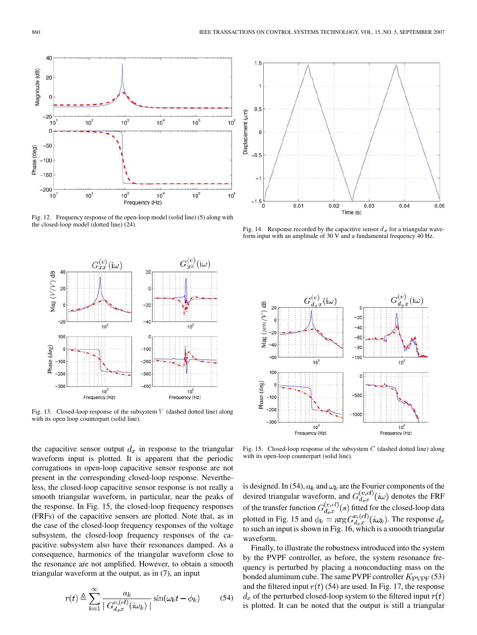

Fig. 12. Frequency response of the open-loop model (solid line) (5) along with the closed-loop model (dotted line) (24).



Fig. 13. Closed-loop response of the subsystem  $V$  (dashed dotted line) along with its open loop counterpart (solid line).

the capacitive sensor output  $d_x$  in response to the triangular waveform input is plotted. It is apparent that the periodic corrugations in open-loop capacitive sensor response are not present in the corresponding closed-loop response. Nevertheless, the closed-loop capacitive sensor response is not really a smooth triangular waveform, in particular, near the peaks of the response. In Fig. 15, the closed-loop frequency responses (FRFs) of the capacitive sensors are plotted. Note that, as in the case of the closed-loop frequency responses of the voltage subsystem, the closed-loop frequency responses of the capacitive subsystem also have their resonances damped. As a consequence, harmonics of the triangular waveform close to the resonance are not amplified. However, to obtain a smooth triangular waveform at the output, as in (7), an input

$$
r(t) \triangleq \sum_{k=1}^{\infty} \frac{a_k}{|G_{d_x x}^{v, (cl)}(i\omega_k)|} \sin(\omega_k t - \phi_k)
$$
 (54)



Fig. 14. Response recorded by the capacitive sensor  $d_x$  for a triangular waveform input with an amplitude of 30 V and a fundamental frequency 40 Hz.



Fig. 15. Closed-loop response of the subsystem  $C$  (dashed dotted line) along with its open-loop counterpart (solid line).

is designed. In (54),  $a_k$  and  $\omega_k$  are the Fourier components of the desired triangular waveform, and  $G_{d,r}^{(v,\alpha)}(i\omega)$  denotes the FRF of the transfer function  $G_{d_x x}^{(v, cl)}(s)$  fitted for the closed-loop data plotted in Fig. 15 and  $\phi_k = \arg G_{d_x x}^{v, (cl)}(i\omega_k)$ . The response  $d_x$ to such an input is shown in Fig. 16, which is a smooth triangular waveform.

Finally, to illustrate the robustness introduced into the system by the PVPF controller, as before, the system resonance frequency is perturbed by placing a nonconducting mass on the bonded aluminum cube. The same PVPF controller  $K_{\text{PVPF}}(53)$ and the filtered input  $r(t)$  (54) are used. In Fig. 17, the response  $d_x$  of the perturbed closed-loop system to the filtered input  $r(t)$ is plotted. It can be noted that the output is still a triangular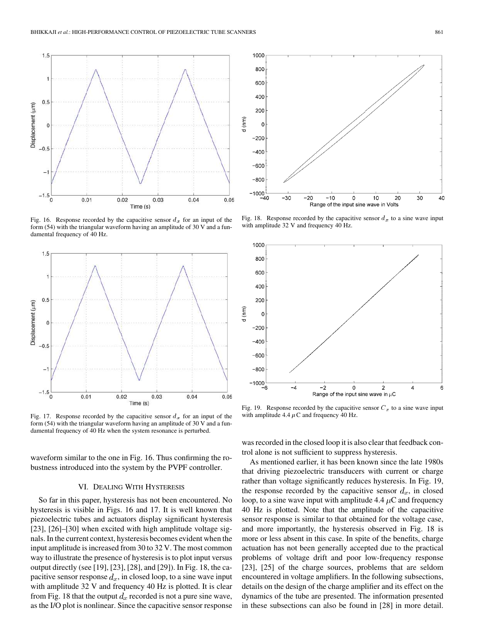

Fig. 16. Response recorded by the capacitive sensor  $d_x$  for an input of the form (54) with the triangular waveform having an amplitude of 30 V and a fundamental frequency of 40 Hz.



Fig. 17. Response recorded by the capacitive sensor  $d_x$  for an input of the form (54) with the triangular waveform having an amplitude of 30 V and a fundamental frequency of 40 Hz when the system resonance is perturbed.

waveform similar to the one in Fig. 16. Thus confirming the robustness introduced into the system by the PVPF controller.

#### VI. DEALING WITH HYSTERESIS

So far in this paper, hysteresis has not been encountered. No hysteresis is visible in Figs. 16 and 17. It is well known that piezoelectric tubes and actuators display significant hysteresis [23], [26]–[30] when excited with high amplitude voltage signals. In the current context, hysteresis becomes evident when the input amplitude is increased from 30 to 32 V. The most common way to illustrate the presence of hysteresis is to plot input versus output directly (see [19], [23], [28], and [29]). In Fig. 18, the capacitive sensor response  $d_x$ , in closed loop, to a sine wave input with amplitude 32 V and frequency 40 Hz is plotted. It is clear from Fig. 18 that the output  $d_x$  recorded is not a pure sine wave, as the I/O plot is nonlinear. Since the capacitive sensor response



Fig. 18. Response recorded by the capacitive sensor  $d_x$  to a sine wave input with amplitude 32 V and frequency 40 Hz.



Fig. 19. Response recorded by the capacitive sensor  $C_x$  to a sine wave input with amplitude 4.4  $\mu$ C and frequency 40 Hz.

was recorded in the closed loop it is also clear that feedback control alone is not sufficient to suppress hysteresis.

As mentioned earlier, it has been known since the late 1980s that driving piezoelectric transducers with current or charge rather than voltage significantly reduces hysteresis. In Fig. 19, the response recorded by the capacitive sensor  $d_x$ , in closed loop, to a sine wave input with amplitude 4.4  $\mu$ C and frequency 40 Hz is plotted. Note that the amplitude of the capacitive sensor response is similar to that obtained for the voltage case, and more importantly, the hysteresis observed in Fig. 18 is more or less absent in this case. In spite of the benefits, charge actuation has not been generally accepted due to the practical problems of voltage drift and poor low-frequency response [23], [25] of the charge sources, problems that are seldom encountered in voltage amplifiers. In the following subsections, details on the design of the charge amplifier and its effect on the dynamics of the tube are presented. The information presented in these subsections can also be found in [28] in more detail.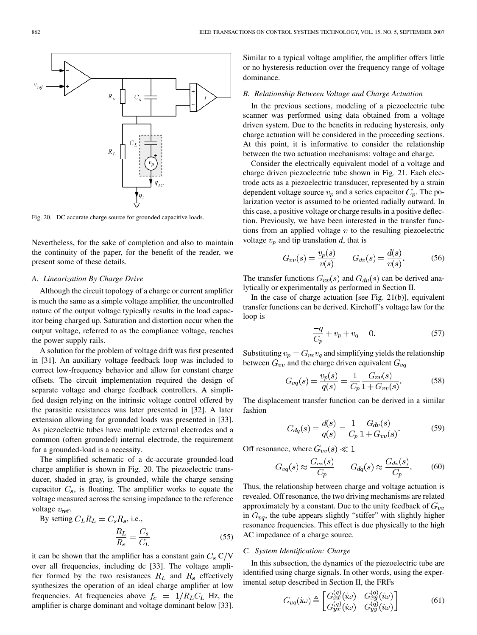

Fig. 20. DC accurate charge source for grounded capacitive loads.

Nevertheless, for the sake of completion and also to maintain the continuity of the paper, for the benefit of the reader, we present some of these details.

## *A. Linearization By Charge Drive*

Although the circuit topology of a charge or current amplifier is much the same as a simple voltage amplifier, the uncontrolled nature of the output voltage typically results in the load capacitor being charged up. Saturation and distortion occur when the output voltage, referred to as the compliance voltage, reaches the power supply rails.

A solution for the problem of voltage drift was first presented in [31]. An auxiliary voltage feedback loop was included to correct low-frequency behavior and allow for constant charge offsets. The circuit implementation required the design of separate voltage and charge feedback controllers. A simplified design relying on the intrinsic voltage control offered by the parasitic resistances was later presented in [32]. A later extension allowing for grounded loads was presented in [33]. As piezoelectric tubes have multiple external electrodes and a common (often grounded) internal electrode, the requirement for a grounded-load is a necessity.

The simplified schematic of a dc-accurate grounded-load charge amplifier is shown in Fig. 20. The piezoelectric transducer, shaded in gray, is grounded, while the charge sensing capacitor  $C_s$ , is floating. The amplifier works to equate the voltage measured across the sensing impedance to the reference voltage  $v_{\text{ref}}$ .

By setting 
$$
C_L R_L = C_s R_s
$$
, i.e.,

$$
\frac{R_L}{R_s} = \frac{C_s}{C_L} \tag{55}
$$

it can be shown that the amplifier has a constant gain  $C_s C/V$ over all frequencies, including dc [33]. The voltage amplifier formed by the two resistances  $R_L$  and  $R_s$  effectively synthesizes the operation of an ideal charge amplifier at low frequencies. At frequencies above  $f_c = 1/R_L C_L$  Hz, the amplifier is charge dominant and voltage dominant below [33].

Similar to a typical voltage amplifier, the amplifier offers little or no hysteresis reduction over the frequency range of voltage dominance.

# *B. Relationship Between Voltage and Charge Actuation*

In the previous sections, modeling of a piezoelectric tube scanner was performed using data obtained from a voltage driven system. Due to the benefits in reducing hysteresis, only charge actuation will be considered in the proceeding sections. At this point, it is informative to consider the relationship between the two actuation mechanisms: voltage and charge.

Consider the electrically equivalent model of a voltage and charge driven piezoelectric tube shown in Fig. 21. Each electrode acts as a piezoelectric transducer, represented by a strain dependent voltage source  $v_p$  and a series capacitor  $C_p$ . The polarization vector is assumed to be oriented radially outward. In this case, a positive voltage or charge results in a positive deflection. Previously, we have been interested in the transfer functions from an applied voltage  $v$  to the resulting piezoelectric voltage  $v_p$  and tip translation d, that is

$$
G_{vv}(s) = \frac{v_p(s)}{v(s)} \qquad G_{dv}(s) = \frac{d(s)}{v(s)}.
$$
 (56)

The transfer functions  $G_{vv}(s)$  and  $G_{dv}(s)$  can be derived analytically or experimentally as performed in Section II.

In the case of charge actuation [see Fig.  $21(b)$ ], equivalent transfer functions can be derived. Kirchoff's voltage law for the loop is

$$
\frac{-q}{C_p} + v_p + v_q = 0.\t\t(57)
$$

Substituting  $v_p = G_{vv}v_q$  and simplifying yields the relationship between  $G_{vv}$  and the charge driven equivalent  $G_{vq}$ 

$$
G_{vq}(s) = \frac{v_p(s)}{q(s)} = \frac{1}{C_p} \frac{G_{vv}(s)}{1 + G_{vv}(s)}.
$$
 (58)

The displacement transfer function can be derived in a similar fashion

$$
G_{dq}(s) = \frac{d(s)}{q(s)} = \frac{1}{C_p} \frac{G_{dv}(s)}{1 + G_{vv}(s)}.
$$
 (59)

Off resonance, where  $G_{vv}(s) \ll 1$ 

$$
G_{vq}(s) \approx \frac{G_{vv}(s)}{C_p} \qquad G_{dq}(s) \approx \frac{G_{dv}(s)}{C_p}.
$$
 (60)

Thus, the relationship between charge and voltage actuation is revealed. Off resonance, the two driving mechanisms are related approximately by a constant. Due to the unity feedback of  $G_{vv}$ in  $G_{vq}$ , the tube appears slightly "stiffer" with slightly higher resonance frequencies. This effect is due physically to the high AC impedance of a charge source.

## *C. System Identification: Charge*

In this subsection, the dynamics of the piezoelectric tube are identified using charge signals. In other words, using the experimental setup described in Section II, the FRFs

$$
G_{\nu q}(i\omega) \triangleq \begin{bmatrix} G_{xx}^{(q)}(i\omega) & G_{xy}^{(q)}(i\omega) \\ G_{yx}^{(q)}(i\omega) & G_{yy}^{(q)}(i\omega) \end{bmatrix}
$$
(61)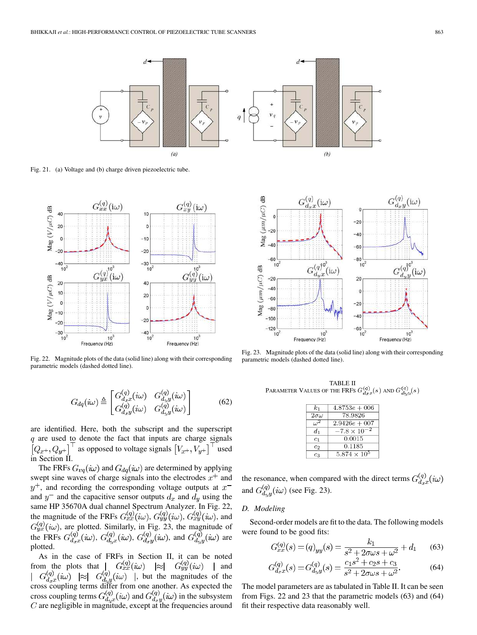

Fig. 21. (a) Voltage and (b) charge driven piezoelectric tube.



Fig. 22. Magnitude plots of the data (solid line) along with their corresponding parametric models (dashed dotted line).

$$
G_{dq}(i\omega) \triangleq \begin{bmatrix} G_{d_x x}^{(q)}(i\omega) & G_{d_y y}^{(q)}(i\omega) \\ G_{d_x y}^{(q)}(i\omega) & G_{d_y y}^{(q)}(i\omega) \end{bmatrix}
$$
(62)

are identified. Here, both the subscript and the superscript are used to denote the fact that inputs are charge signals as opposed to voltage signals  $|V_{x+}, V_{y+}|$  used in Section II.

The FRFs  $G_{vq}(i\omega)$  and  $G_{dq}(i\omega)$  are determined by applying swept sine waves of charge signals into the electrodes  $x^{+}$  and  $y^+$ , and recording the corresponding voltage outputs at  $x^$ and  $y^-$  and the capacitive sensor outputs  $d_x$  and  $d_y$  using the same HP 35670A dual channel Spectrum Analyzer. In Fig. 22, the magnitude of the FRFs  $G_{xx}^{(q)}(i\omega)$ ,  $G_{yy}^{(q)}(i\omega)$ ,  $G_{xy}^{(q)}(i\omega)$ , and , are plotted. Similarly, in Fig. 23, the magnitude of the FRFs  $G_{d,r}^{(q)}(i\omega)$ ,  $G_{d,r}^{(q)}(i\omega)$ ,  $G_{d,q}^{(q)}(i\omega)$ , and  $G_{d,q}^{(q)}(i\omega)$  are plotted.

As in the case of FRFs in Section II, it can be noted from the plots that  $\begin{array}{cc} | & G_{xx}^{(q)}(i\omega) & |\approx| & G_{yy}^{(q)}(i\omega) & | \text{and} \end{array}$ , but the magnitudes of the cross coupling terms differ from one another. As expected the cross coupling terms  $G_{d,r}^{(q)}(i\omega)$  and  $G_{d,r}^{(q)}(i\omega)$  in the subsystem are negligible in magnitude, except at the frequencies around



Fig. 23. Magnitude plots of the data (solid line) along with their corresponding parametric models (dashed dotted line).

**TABLE II**<br>PARAMETER VALUES OF THE FRFS  $G_{d,n}^{(q)}(s)$  and  $G_{d,n}^{(q)}(s)$ 

| $k_1$           | $4.8753e + 006$       |
|-----------------|-----------------------|
| $2\sigma\omega$ | 78.9826               |
| (1, 1)          | $2.9426e + 007$       |
| $d_1$           | $-7.8 \times 10^{-2}$ |
| c <sub>1</sub>  | 0.0015                |
| C <sub>2</sub>  | 0.1185                |
|                 | $5.874 \times 10^{5}$ |

the resonance, when compared with the direct terms  $G_{d-x}^{(q)}(i\omega)$ and  $G_{d_uy}^{(q)}(i\omega)$  (see Fig. 23).

# *D. Modeling*

Second-order models are fit to the data. The following models were found to be good fits:

$$
G_{xx}^{(q)}(s) = (q)_{yy}(s) = \frac{k_1}{s^2 + 2\sigma\omega s + \omega^2} + d_1 \qquad (63)
$$

$$
G_{d_x x}^{(q)}(s) = G_{d_y y}^{(q)}(s) = \frac{c_1 s^2 + c_2 s + c_3}{s^2 + 2\sigma \omega s + \omega^2}.
$$
 (64)

The model parameters are as tabulated in Table II. It can be seen from Figs. 22 and 23 that the parametric models (63) and (64) fit their respective data reasonably well.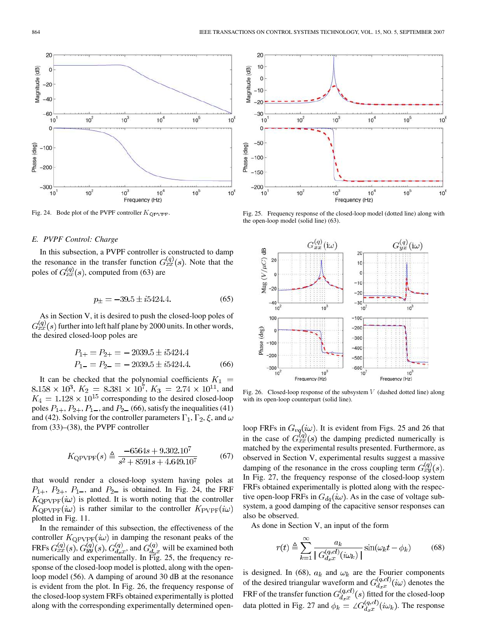

Fig. 24. Bode plot of the PVPF controller  $K_{\text{OPVPF}}$ .

# *E. PVPF Control: Charge*

In this subsection, a PVPF controller is constructed to damp the resonance in the transfer function  $G_{xx}^{(q)}(s)$ . Note that the poles of  $G_{xx}^{(q)}(s)$ , computed from (63) are

$$
p_{\pm} = -39.5 \pm i5424.4. \tag{65}
$$

As in Section V, it is desired to push the closed-loop poles of  $G_{xx}^{(q)}(s)$  further into left half plane by 2000 units. In other words, the desired closed-loop poles are

$$
P_{1+} = P_{2+} = -2039.5 \pm i5424.4
$$
  
\n
$$
P_{1-} = P_{2-} = -2039.5 \pm i5424.4.
$$
 (66)

It can be checked that the polynomial coefficients  $K_1$  =  $8.158 \times 10^3$ ,  $K_2 = 8.381 \times 10^7$ ,  $K_3 = 2.74 \times 10^{11}$ , and  $K_4 = 1.128 \times 10^{15}$  corresponding to the desired closed-loop poles  $P_{1+}$ ,  $P_{2+}$ ,  $P_{1-}$ , and  $P_{2-}$  (66), satisfy the inequalities (41) and (42). Solving for the controller parameters  $\Gamma_1$ ,  $\Gamma_2$ ,  $\xi$ , and  $\omega$ from (33)–(38), the PVPF controller

$$
K_{\text{QPVPF}}(s) \triangleq \frac{-6564s + 9.302.10^7}{s^2 + 8591s + 4.649.10^7} \tag{67}
$$

that would render a closed-loop system having poles at  $P_{1+}$ ,  $P_{2+}$ ,  $P_{1-}$ , and  $P_{2-}$  is obtained. In Fig. 24, the FRF  $K_{\text{QPVPF}}(i\omega)$  is plotted. It is worth noting that the controller  $K_{\text{QPVPF}}(i\omega)$  is rather similar to the controller  $K_{\text{PVPF}}(i\omega)$ plotted in Fig. 11.

In the remainder of this subsection, the effectiveness of the controller  $K_{\text{QPVPF}}(i\omega)$  in damping the resonant peaks of the FRFs  $G_{xx}^{(q)}(s)$ ,  $G_{yy}^{(q)}(s)$ ,  $G_{d-r}^{(q)}$ , and  $G_{d-r}^{(q)}$  will be examined both numerically and experimentally. In Fig. 25, the frequency response of the closed-loop model is plotted, along with the openloop model (56). A damping of around 30 dB at the resonance is evident from the plot. In Fig. 26, the frequency response of the closed-loop system FRFs obtained experimentally is plotted along with the corresponding experimentally determined open-



Fig. 25. Frequency response of the closed-loop model (dotted line) along with the open-loop model (solid line) (63).



Fig. 26. Closed-loop response of the subsystem  $V$  (dashed dotted line) along with its open-loop counterpart (solid line).

loop FRFs in  $G_{vq}(i\omega)$ . It is evident from Figs. 25 and 26 that in the case of  $G_{xx}^{(q)}(s)$  the damping predicted numerically is matched by the experimental results presented. Furthermore, as observed in Section V, experimental results suggest a massive damping of the resonance in the cross coupling term  $G_{xy}^{(q)}(s)$ . In Fig. 27, the frequency response of the closed-loop system FRFs obtained experimentally is plotted along with the respective open-loop FRFs in  $G_{dq}(i\omega)$ . As in the case of voltage subsystem, a good damping of the capacitive sensor responses can also be observed.

As done in Section V, an input of the form

$$
r(t) \triangleq \sum_{k=1}^{\infty} \frac{a_k}{\left| G_{d_{xx}}^{(q,cl)}(i\omega_k) \right|} \sin(\omega_k t - \phi_k)
$$
(68)

is designed. In (68),  $a_k$  and  $\omega_k$  are the Fourier components of the desired triangular waveform and  $G_{d_x x}^{(q, cl)}(i\omega)$  denotes the FRF of the transfer function  $G_{d_x x}^{(q, cl)}(s)$  fitted for the closed-loop data plotted in Fig. 27 and  $\phi_k = \angle G_{d_x x}^{(q, cl)}(i\omega_k)$ . The response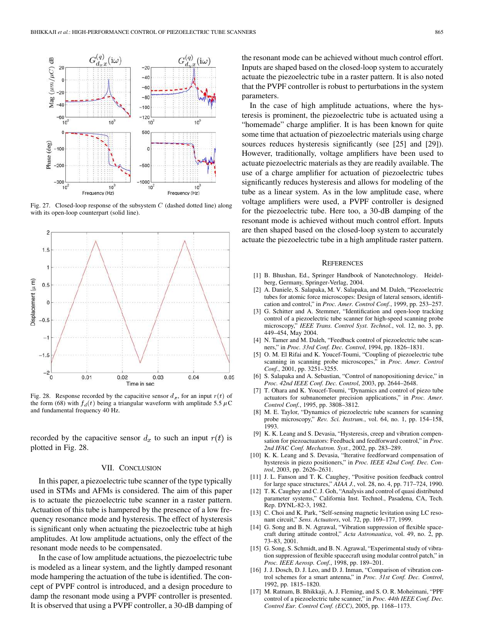

Fig. 27. Closed-loop response of the subsystem  $C$  (dashed dotted line) along with its open-loop counterpart (solid line).



Fig. 28. Response recorded by the capacitive sensor  $d_x$ , for an input  $r(t)$  of the form (68) with  $f_d(t)$  being a triangular waveform with amplitude 5.5  $\mu$ C and fundamental frequency 40 Hz.

recorded by the capacitive sensor  $d_x$  to such an input  $r(t)$  is plotted in Fig. 28.

# VII. CONCLUSION

In this paper, a piezoelectric tube scanner of the type typically used in STMs and AFMs is considered. The aim of this paper is to actuate the piezoelectric tube scanner in a raster pattern. Actuation of this tube is hampered by the presence of a low frequency resonance mode and hysteresis. The effect of hysteresis is significant only when actuating the piezoelectric tube at high amplitudes. At low amplitude actuations, only the effect of the resonant mode needs to be compensated.

In the case of low amplitude actuations, the piezoelectric tube is modeled as a linear system, and the lightly damped resonant mode hampering the actuation of the tube is identified. The concept of PVPF control is introduced, and a design procedure to damp the resonant mode using a PVPF controller is presented. It is observed that using a PVPF controller, a 30-dB damping of the resonant mode can be achieved without much control effort. Inputs are shaped based on the closed-loop system to accurately actuate the piezoelectric tube in a raster pattern. It is also noted that the PVPF controller is robust to perturbations in the system parameters.

In the case of high amplitude actuations, where the hysteresis is prominent, the piezoelectric tube is actuated using a "homemade" charge amplifier. It is has been known for quite some time that actuation of piezoelectric materials using charge sources reduces hysteresis significantly (see [25] and [29]). However, traditionally, voltage amplifiers have been used to actuate piezoelectric materials as they are readily available. The use of a charge amplifier for actuation of piezoelectric tubes significantly reduces hysteresis and allows for modeling of the tube as a linear system. As in the low amplitude case, where voltage amplifiers were used, a PVPF controller is designed for the piezoelectric tube. Here too, a 30-dB damping of the resonant mode is achieved without much control effort. Inputs are then shaped based on the closed-loop system to accurately actuate the piezoelectric tube in a high amplitude raster pattern.

#### **REFERENCES**

- [1] B. Bhushan, Ed., Springer Handbook of Nanotechnology. Heidelberg, Germany, Springer-Verlag, 2004.
- [2] A. Daniele, S. Salapaka, M. V. Salapaka, and M. Daleh, "Piezoelectric tubes for atomic force microscopes: Design of lateral sensors, identification and control," in *Proc. Amer. Control Conf.*, 1999, pp. 253–257.
- [3] G. Schitter and A. Stemmer, "Identification and open-loop tracking control of a piezoelectric tube scanner for high-speed scanning probe microscopy," *IEEE Trans. Control Syst. Technol.*, vol. 12, no. 3, pp. 449–454, May 2004.
- [4] N. Tamer and M. Daleh, "Feedback control of piezoelectric tube scanners," in *Proc. 33rd Conf. Dec. Control*, 1994, pp. 1826–1831.
- [5] O. M. El Rifai and K. Youcef-Toumi, "Coupling of piezoelectric tube scanning in scanning probe microscopes," in *Proc. Amer. Control Conf.*, 2001, pp. 3251–3255.
- [6] S. Salapaka and A. Sebastian, "Control of nanopositioning device," in *Proc. 42nd IEEE Conf. Dec. Control*, 2003, pp. 2644–2648.
- [7] T. Ohara and K. Youcef-Toumi, "Dynamics and control of piezo tube actuators for subnanometer precision applications," in *Proc. Amer. Control Conf.*, 1995, pp. 3808–3812.
- [8] M. E. Taylor, "Dynamics of piezoelectric tube scanners for scanning probe microscopy," *Rev. Sci. Instrum.*, vol. 64, no. 1, pp. 154–158, 1993.
- [9] K. K. Leang and S. Devasia, "Hysteresis, creep and vibration compensation for piezoactuators: Feedback and feedforward control," in *Proc. 2nd IFAC Conf. Mechatron. Syst.*, 2002, pp. 283–289.
- [10] K. K. Leang and S. Devasia, "Iterative feedforward compensation of hysteresis in piezo positioners," in *Proc. IEEE 42nd Conf. Dec. Control*, 2003, pp. 2626–2631.
- [11] J. L. Fanson and T. K. Caughey, "Positive position feedback control for large space structures," *AIAA J.*, vol. 28, no. 4, pp. 717–724, 1990.
- [12] T. K. Caughey and C. J. Goh, "Analysis and control of quasi distributed parameter systems," California Inst. Technol., Pasadena, CA, Tech. Rep. DYNL-82-3, 1982.
- [13] C. Choi and K. Park, "Self-sensing magnetic levitation using LC resonant circuit," *Sens. Actuators*, vol. 72, pp. 169–177, 1999.
- [14] G. Song and B. N. Agrawal, "Vibration suppression of flexible spacecraft during attitude control," *Acta Astronautica*, vol. 49, no. 2, pp. 73–83, 2001.
- [15] G. Song, S. Schmidt, and B. N. Agrawal, "Experimental study of vibration suppression of flexible spacecraft using modular control patch," in *Proc. IEEE Aerosp. Conf.*, 1998, pp. 189–201.
- [16] J. J. Dosch, D. J. Leo, and D. J. Inman, "Comparison of vibration control schemes for a smart antenna," in *Proc. 31st Conf. Dec. Control*, 1992, pp. 1815–1820.
- [17] M. Ratnam, B. Bhikkaji, A. J. Fleming, and S. O. R. Moheimani, "PPF control of a piezoelectric tube scanner," in *Proc. 44th IEEE Conf. Dec. Control Eur. Control Conf. (ECC)*, 2005, pp. 1168–1173.